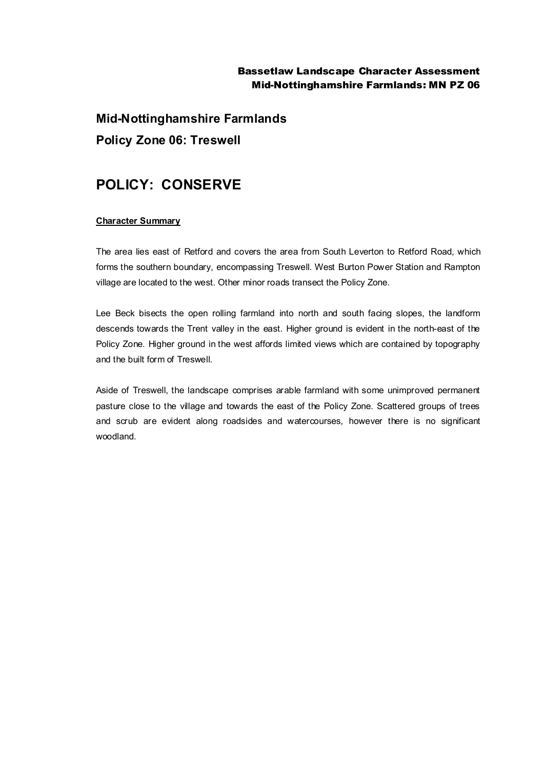## Bassetlaw Landscape Character Assessment Mid-Nottinghamshire Farmlands: MN PZ 06

**Mid-Nottinghamshire Farmlands Policy Zone 06: Treswell**

## **POLICY: CONSERVE**

## **Character Summary**

The area lies east of Retford and covers the area from South Leverton to Retford Road, which forms the southern boundary, encompassing Treswell. West Burton Power Station and Rampton village are located to the west. Other minor roads transect the Policy Zone.

Lee Beck bisects the open rolling farmland into north and south facing slopes, the landform descends towards the Trent valley in the east. Higher ground is evident in the north-east of the Policy Zone. Higher ground in the west affords limited views which are contained by topography and the built form of Treswell.

Aside of Treswell, the landscape comprises arable farmland with some unimproved permanent pasture close to the village and towards the east of the Policy Zone. Scattered groups of trees and scrub are evident along roadsides and watercourses, however there is no significant woodland.